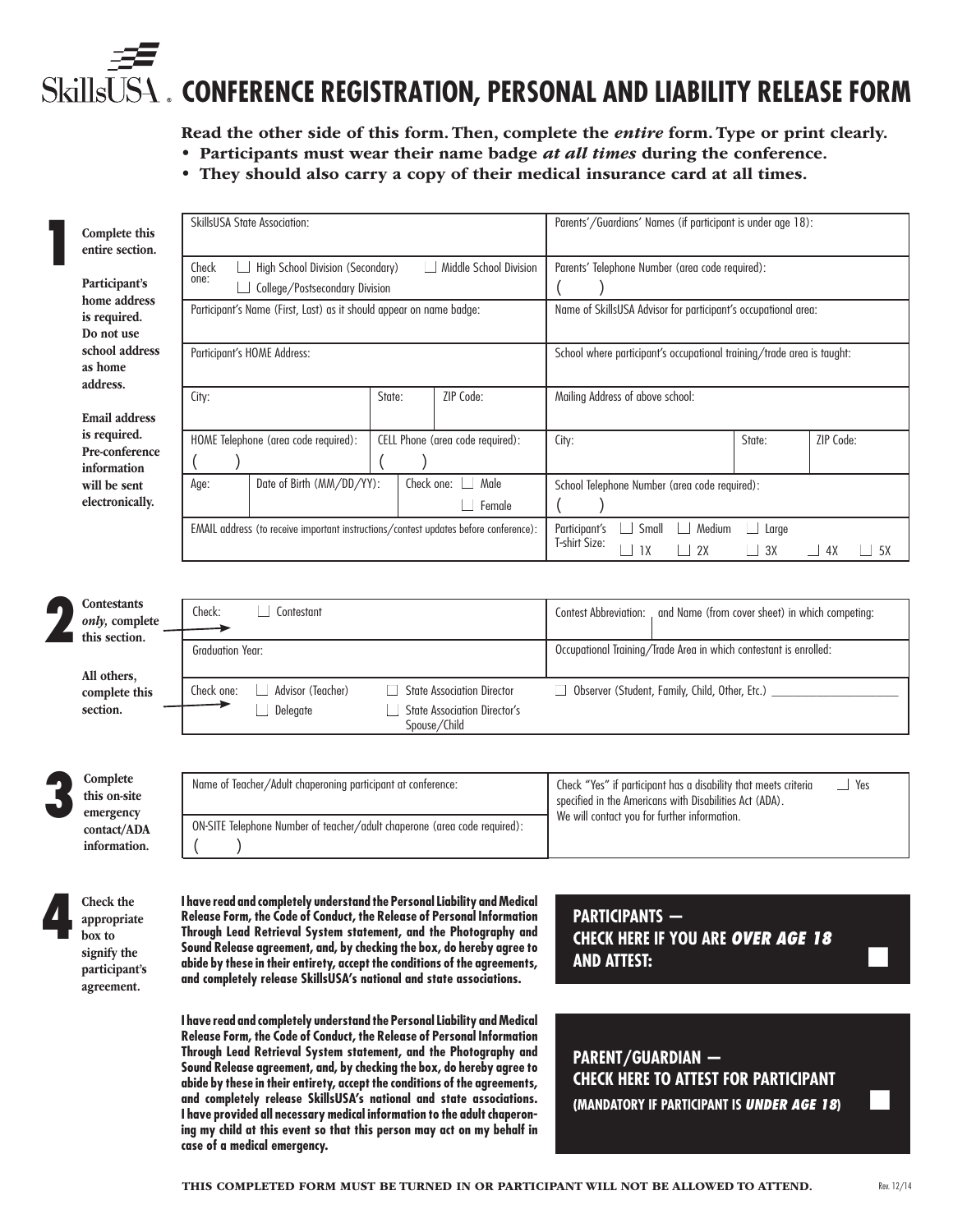# **SkillsU CONFERENCE REGISTRATION, PERSONAL AND LIABILITY RELEASE FORM**

Read the other side of this form. Then, complete the *entire* form. Type or print clearly.

- Participants must wear their name badge *at all times* during the conference.
	- They should also carry a copy of their medical insurance card at all times.

| Complete this<br>entire section.               | <b>SkillsUSA State Association:</b>                                                  |                                                                                          | Parents'/Guardians' Names (if participant is under age 18):                                                                              |  |
|------------------------------------------------|--------------------------------------------------------------------------------------|------------------------------------------------------------------------------------------|------------------------------------------------------------------------------------------------------------------------------------------|--|
| Participant's                                  | High School Division (Secondary)<br>Check<br>one:<br>College/Postsecondary Division  | Middle School Division                                                                   | Parents' Telephone Number (area code required):                                                                                          |  |
| home address<br>is required.<br>Do not use     | Participant's Name (First, Last) as it should appear on name badge:                  |                                                                                          | Name of SkillsUSA Advisor for participant's occupational area:                                                                           |  |
| school address<br>as home<br>address.          | Participant's HOME Address:                                                          |                                                                                          | School where participant's occupational training/trade area is taught:                                                                   |  |
| <b>Email address</b>                           | City:                                                                                | ZIP Code:<br>State:                                                                      | Mailing Address of above school:                                                                                                         |  |
| is required.<br>Pre-conference<br>information  | HOME Telephone (area code required):                                                 | CELL Phone (area code required):                                                         | ZIP Code:<br>State:<br>City:                                                                                                             |  |
| will be sent<br>electronically.                | Date of Birth (MM/DD/YY):<br>Age:                                                    | Male<br>Check one:<br>Female                                                             | School Telephone Number (area code required):                                                                                            |  |
|                                                | EMAIL address (to receive important instructions/contest updates before conference): |                                                                                          | Participant's<br>Small<br>Medium<br>Large<br>T-shirt Size:<br>2X<br>1X<br>3X<br>4X<br>5X                                                 |  |
|                                                |                                                                                      |                                                                                          |                                                                                                                                          |  |
| Contestants<br>only, complete<br>this section. | Check:<br>Contestant                                                                 |                                                                                          | <b>Contest Abbreviation:</b><br>and Name (from cover sheet) in which competing:                                                          |  |
| All others,                                    | <b>Graduation Year:</b>                                                              |                                                                                          | Occupational Training/Trade Area in which contestant is enrolled:                                                                        |  |
| complete this<br>section.                      | Advisor (Teacher)<br>Check one:<br>Delegate                                          | <b>State Association Director</b><br><b>State Association Director's</b><br>Spouse/Child | Observer (Student, Family, Child, Other, Etc.) _                                                                                         |  |
|                                                |                                                                                      |                                                                                          |                                                                                                                                          |  |
| Complete<br>this on-site<br>emergency          | Name of Teacher/Adult chaperoning participant at conference:                         |                                                                                          | $\Box$ Yes<br>Check "Yes" if participant has a disability that meets criteria<br>specified in the Americans with Disabilities Act (ADA). |  |
| contact/ADA<br>information.                    | ON-SITE Telephone Number of teacher/adult chaperone (area code required):            |                                                                                          | We will contact you for further information.                                                                                             |  |

The Check the appropriat appropriate box to signify the participant's agreement.

**I have read and completely understand the Personal Liability and Medical Release Form, the Code of Conduct, the Release of Personal Information Through Lead Retrieval System statement, and the Photography and Sound Release agreement, and, by checking the box, do hereby agree to abide by these in their entirety, accept the conditions of the agreements, and completely release SkillsUSA's national and state associations.**

**I have read and completely understand the Personal Liability and Medical Release Form, the Code of Conduct, the Release of Personal Information Through Lead Retrieval System statement, and the Photography and Sound Release agreement, and, by checking the box, do hereby agree to abide by these in their entirety, accept the conditions of the agreements, and completely release SkillsUSA's national and state associations. I have provided all necessary medical information to the adult chaperoning my child at this event so that this person may act on my behalf in case of a medical emergency.**

**PARTICIPANTS — CHECK HERE IF YOU ARE** *OVER AGE 18* **AND ATTEST:** ■

**PARENT/GUARDIAN — CHECK HERE TO ATTEST FOR PARTICIPANT (MANDATORY IF PARTICIPANT IS UNDER AGE 18)**